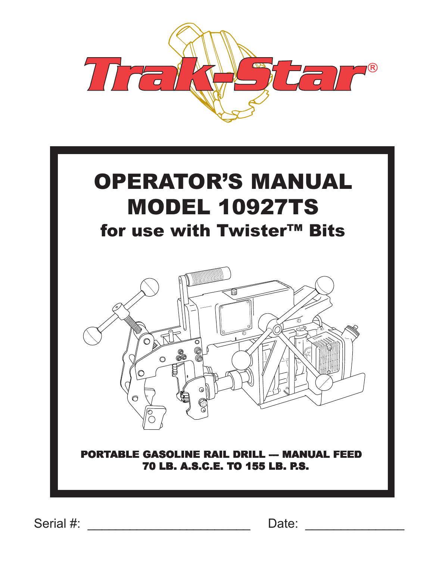

# OPERATOR'S MANUAL MODEL 10927TS for use with Twister™ Bits



### PORTABLE GASOLINE RAIL DRILL -- MANUAL FEED 70 LB. A.S.C.E. TO 155 LB. P.S.

Serial #: \_\_\_\_\_\_\_\_\_\_\_\_\_\_\_\_\_\_\_\_\_\_\_ Date: \_\_\_\_\_\_\_\_\_\_\_\_\_\_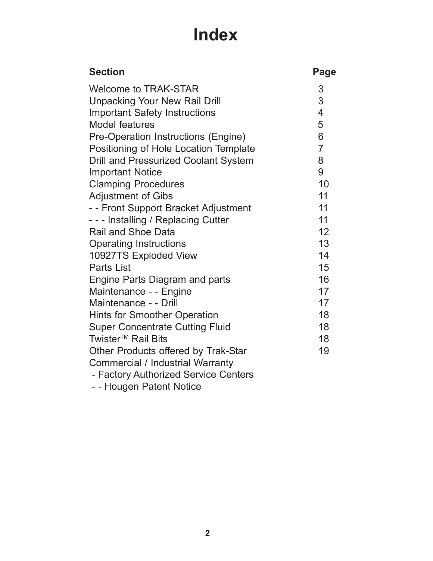# **Index**

| <b>Section</b>                              | Page                     |
|---------------------------------------------|--------------------------|
| <b>Welcome to TRAK-STAR</b>                 | 3                        |
| <b>Unpacking Your New Rail Drill</b>        | 3                        |
| <b>Important Safety Instructions</b>        | $\overline{\mathcal{A}}$ |
| Model features                              | 5                        |
| Pre-Operation Instructions (Engine)         | 6                        |
| Positioning of Hole Location Template       | $\overline{7}$           |
| <b>Drill and Pressurized Coolant System</b> | 8                        |
| <b>Important Notice</b>                     | 9                        |
| <b>Clamping Procedures</b>                  | 10                       |
| <b>Adjustment of Gibs</b>                   | 11                       |
| - - Front Support Bracket Adjustment        | 11                       |
| --- Installing / Replacing Cutter           | 11                       |
| <b>Rail and Shoe Data</b>                   | 12                       |
| <b>Operating Instructions</b>               | 13                       |
| 10927TS Exploded View                       | 14                       |
| <b>Parts List</b>                           | 15                       |
| Engine Parts Diagram and parts              | 16                       |
| Maintenance - - Engine                      | 17                       |
| Maintenance - - Drill                       | 17                       |
| <b>Hints for Smoother Operation</b>         | 18                       |
| <b>Super Concentrate Cutting Fluid</b>      | 18                       |
| Twister <sup>™</sup> Rail Bits              | 18                       |
| Other Products offered by Trak-Star         | 19                       |
| <b>Commercial / Industrial Warranty</b>     |                          |
| - Factory Authorized Service Centers        |                          |

- - Hougen Patent Notice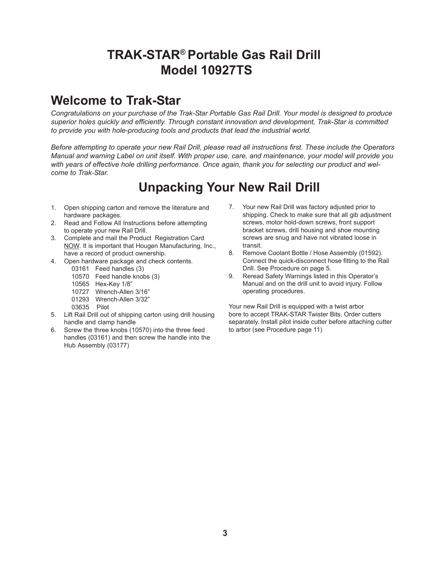### **TRAK-STAR® Portable Gas Rail Drill Model 10927TS**

### **Welcome to Trak-Star**

*Congratulations on your purchase of the Trak-Star Portable Gas Rail Drill. Your model is designed to produce superior holes quickly and efficiently. Through constant innovation and development, Trak-Star is committed to provide you with hole-producing tools and products that lead the industrial world.*

*Before attempting to operate your new Rail Drill, please read all instructions first. These include the Operators Manual and warning Label on unit itself. With proper use, care, and maintenance, your model will provide you with years of effective hole drilling performance. Once again, thank you for selecting our product and welcome to Trak-Star.*

## **Unpacking Your New Rail Drill**

- 1. Open shipping carton and remove the literature and hardware packages.
- 2. Read and Follow All Instructions before attempting to operate your new Rail Drill.
- 3. Complete and mail the Product Registration Card NOW. It is important that Hougen Manufacturing, Inc., have a record of product ownership.
- 4. Open hardware package and check contents.
	- 03161 Feed handles (3)
	- 10570 Feed handle knobs (3)
	- 10565 Hex-Key 1/8"
	- 10727 Wrench-Allen 3/16"
	- 01293 Wrench-Allen 3/32"
	- 03635 Pilot
- 5. Lift Rail Drill out of shipping carton using drill housing handle and clamp handle
- 6. Screw the three knobs (10570) into the three feed handles (03161) and then screw the handle into the Hub Assembly (03177)
- 7. Your new Rail Drill was factory adjusted prior to shipping. Check to make sure that all gib adjustment screws, motor hold-down screws, front support bracket screws, drill housing and shoe mounting screws are snug and have not vibrated loose in transit.
- 8. Remove Coolant Bottle / Hose Assembly (01592). Connect the quick-disconnect hose fitting to the Rail Drill. See Procedure on page 5.
- 9. Reread Safety Warnings listed in this Operator's Manual and on the drill unit to avoid injury. Follow operating procedures.

Your new Rail Drill is equipped with a twist arbor bore to accept TRAK-STAR Twister Bits. Order cutters separately. Install pilot inside cutter before attaching cutter to arbor (see Procedure page 11)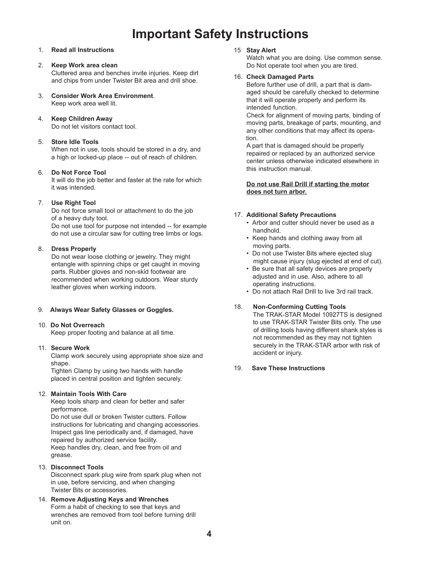### **Important Safety Instructions**

#### 1. **Read all Instructions**

#### 2. **Keep Work area clean**

Cluttered area and benches invite injuries. Keep dirt and chips from under Twister Bit area and drill shoe.

- 3. **Consider Work Area Environment**. Keep work area well lit.
- 4. **Keep Children Away**

Do not let visitors contact tool.

#### 5. **Store Idle Tools**

When not in use, tools should be stored in a dry, and a high or locked-up place -- out of reach of children.

#### 6. **Do Not Force Tool**

It will do the job better and faster at the rate for which it was intended.

#### 7. **Use Right Tool**

Do not force small tool or attachment to do the job of a heavy duty tool. Do not use tool for purpose not intended -- for example

do not use a circular saw for cutting tree limbs or logs.

#### 8. **Dress Properly**

Do not wear loose clothing or jewelry. They might entangle with spinning chips or get caught in moving parts. Rubber gloves and non-skid footwear are recommended when working outdoors. Wear sturdy leather gloves when working indoors.

#### 9. **Always Wear Safety Glasses or Goggles.**

#### 10. **Do Not Overreach**

Keep proper footing and balance at all time.

#### 11. **Secure Work**

Clamp work securely using appropriate shoe size and shape.

Tighten Clamp by using two hands with handle placed in central position and tighten securely.

#### 12. **Maintain Tools With Care**

Keep tools sharp and clean for better and safer performance.

Do not use dull or broken Twister cutters. Follow instructions for lubricating and changing accessories. Inspect gas line periodically and, if damaged, have repaired by authorized service facility. Keep handles dry, clean, and free from oil and grease.

13. **Disconnect Tools**

Disconnect spark plug wire from spark plug when not in use, before servicing, and when changing Twister Bits or accessories.

14. **Remove Adjusting Keys and Wrenches** Form a habit of checking to see that keys and wrenches are removed from tool before turning drill unit on.

#### 15 **Stay Alert**

Watch what you are doing. Use common sense. Do Not operate tool when you are tired.

#### 16. **Check Damaged Parts**

Before further use of drill, a part that is damaged should be carefully checked to determine that it will operate properly and perform its intended function.

Check for alignment of moving parts, binding of moving parts, breakage of parts, mounting, and any other conditions that may affect its opera tion.

A part that is damaged should be properly repaired or replaced by an authorized service center unless otherwise indicated elsewhere in this instruction manual.

#### **Do not use Rail Drill if starting the motor does not turn arbor.**

#### 17. **Additional Safety Precautions**

- Arbor and cutter should never be used as a handhold.
- Keep hands and clothing away from all moving parts.
- Do not use Twister Bits where ejected slug might cause injury (slug ejected at end of cut).
- Be sure that all safety devices are properly adjusted and in use. Also, adhere to all operating instructions.
- Do not attach Rail Drill to live 3rd rail track.

#### 18. **Non-Conforming Cutting Tools**

The TRAK-STAR Model 10927TS is designed to use TRAK-STAR Twister Bits only. The use of drilling tools having different shank styles is not recommended as they may not tighten securely in the TRAK-STAR arbor with risk of accident or injury.

#### 19. **Save These Instructions**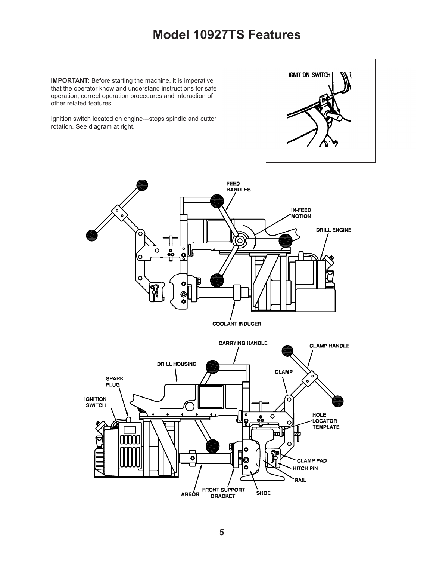### **Model 10927TS Features**

**IMPORTANT:** Before starting the machine, it is imperative that the operator know and understand instructions for safe operation, correct operation procedures and interaction of other related features.

Ignition switch located on engine---stops spindle and cutter rotation. See diagram at right.



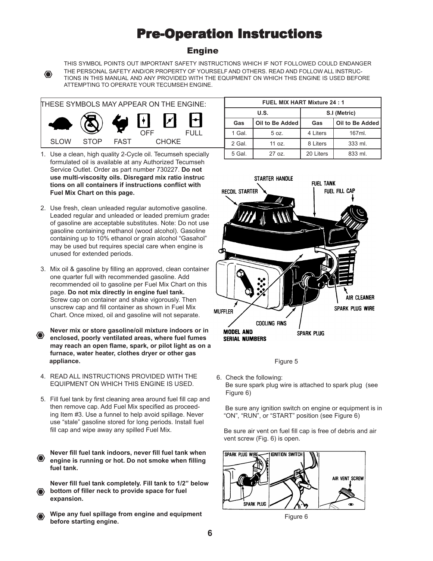### **Pre-Operation Instructions**

#### Engine



THIS SYMBOL POINTS OUT IMPORTANT SAFETY INSTRUCTIONS WHICH IF NOT FOLLOWED COULD ENDANGER THE PERSONAL SAFETY AND/OR PROPERTY OF YOURSELF AND OTHERS. READ AND FOLLOW ALL INSTRUC-TIONS IN THIS MANUAL AND ANY PROVIDED WITH THE EQUIPMENT ON WHICH THIS ENGINE IS USED BEFORE ATTEMPTING TO OPERATE YOUR TECUMSEH ENGINE.



- 1. Use a clean, high quality 2-Cycle oil. Tecumseh specially formulated oil is available at any Authorized Tecumseh Service Outlet. Order as part number 730227. **Do not use multi-viscosity oils. Disregard mix ratio instruc tions on all containers if instructions conflict with Fuel Mix Chart on this page.**
- 2. Use fresh, clean unleaded regular automotive gasoline. Leaded regular and unleaded or leaded premium grades of gasoline are acceptable substitutes. Note: Do not use gasoline containing methanol (wood alcohol). Gasoline containing up to 10% ethanol or grain alcohol "Gasahol" may be used but requires special care when engine is unused for extended periods.
- 3. Mix oil & gasoline by filling an approved, clean container one quarter full with recommended gasoline. Add recommended oil to gasoline per Fuel Mix Chart on this page. **Do not mix directly in engine fuel tank.** Screw cap on container and shake vigorously. Then unscrew cap and fill container as shown in Fuel Mix Chart. Once mixed, oil and gasoline will not separate.
- **Never mix or store gasoline/oil mixture indoors or in** O) **enclosed, poorly ventilated areas, where fuel fumes may reach an open flame, spark, or pilot light as on a furnace, water heater, clothes dryer or other gas appliance.**
- 4. READ ALL INSTRUCTIONS PROVIDED WITH THE EQUIPMENT ON WHICH THIS ENGINE IS USED.
- 5. Fill fuel tank by first cleaning area around fuel fill cap and then remove cap. Add Fuel Mix specified as proceeding Item #3. Use a funnel to help avoid spillage. Never use "stale" gasoline stored for long periods. Install fuel fill cap and wipe away any spilled Fuel Mix.

**Never fill fuel tank indoors, never fill fuel tank when** ◈ **engine is running or hot. Do not smoke when filling fuel tank.**

**Never fill fuel tank completely. Fill tank to 1/2" below bottom of filler neck to provide space for fuel expansion.**

**Wipe any fuel spillage from engine and equipment** (● **before starting engine.**

| <b>FUEL MIX HART Mixture 24:1</b> |                 |              |                 |  |
|-----------------------------------|-----------------|--------------|-----------------|--|
| U.S.                              |                 | S.I (Metric) |                 |  |
| Gas                               | Oil to Be Added | Gas          | Oil to Be Added |  |
| 1 Gal.                            | 5 oz.           | 4 Liters     | 167ml.          |  |
| 2 Gal.                            | 11 oz.          | 8 Liters     | 333 ml.         |  |
| 5 Gal.                            | $27$ oz.        | 20 Liters    | 833 ml.         |  |





6. Check the following: Be sure spark plug wire is attached to spark plug (see Figure 6)

 Be sure any ignition switch on engine or equipment is in "ON", "RUN", or "START" position (see Figure 6)

 Be sure air vent on fuel fill cap is free of debris and air vent screw (Fig. 6) is open.



Figure 6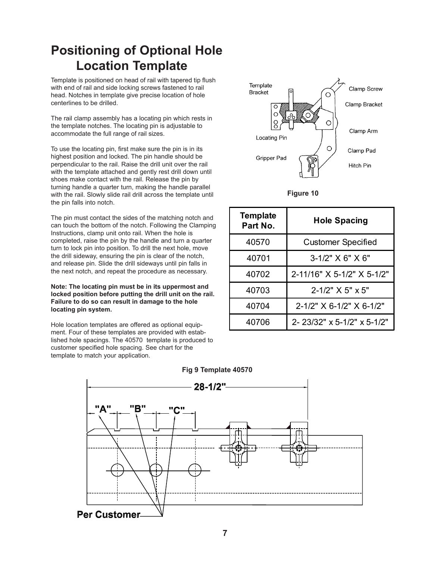### **Positioning of Optional Hole Location Template**

Template is positioned on head of rail with tapered tip flush with end of rail and side locking screws fastened to rail head. Notches in template give precise location of hole centerlines to be drilled.

The rail clamp assembly has a locating pin which rests in the template notches. The locating pin is adjustable to accommodate the full range of rail sizes.

To use the locating pin, first make sure the pin is in its highest position and locked. The pin handle should be perpendicular to the rail. Raise the drill unit over the rail with the template attached and gently rest drill down until shoes make contact with the rail. Release the pin by turning handle a quarter turn, making the handle parallel with the rail. Slowly slide rail drill across the template until the pin falls into notch.

The pin must contact the sides of the matching notch and can touch the bottom of the notch. Following the Clamping Instructions, clamp unit onto rail. When the hole is completed, raise the pin by the handle and turn a quarter turn to lock pin into position. To drill the next hole, move the drill sideway, ensuring the pin is clear of the notch, and release pin. Slide the drill sideways until pin falls in the next notch, and repeat the procedure as necessary.

**Note: The locating pin must be in its uppermost and locked position before putting the drill unit on the rail. Failure to do so can result in damage to the hole locating pin system.**

Hole location templates are offered as optional equipment. Four of these templates are provided with established hole spacings. The 40570 template is produced to customer specified hole spacing. See chart for the template to match your application.



#### **Figure 10**

| <b>Template</b><br>Part No. | <b>Hole Spacing</b>                 |  |  |
|-----------------------------|-------------------------------------|--|--|
| 40570                       | <b>Customer Specified</b>           |  |  |
| 40701                       | $3-1/2$ " $X$ 6" $X$ 6"             |  |  |
| 40702                       | 2-11/16" X 5-1/2" X 5-1/2"          |  |  |
| 40703                       | $2 - 1/2$ " $\times$ 5" $\times$ 5" |  |  |
| 40704                       | 2-1/2" X 6-1/2" X 6-1/2"            |  |  |
| 40706                       | 2- 23/32" x 5-1/2" x 5-1/2"         |  |  |



#### **Fig 9 Template 40570**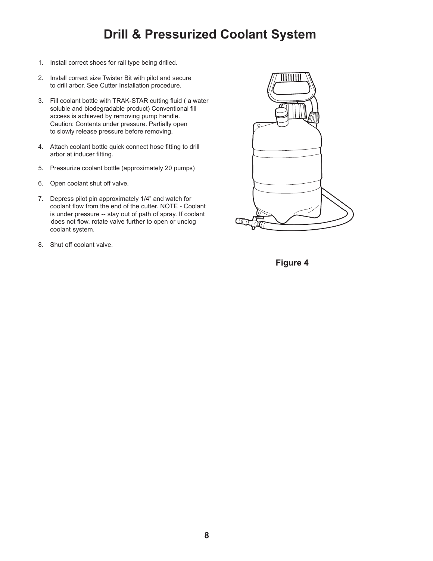### **Drill & Pressurized Coolant System**

- 1. Install correct shoes for rail type being drilled.
- 2. Install correct size Twister Bit with pilot and secure to drill arbor. See Cutter Installation procedure.
- 3. Fill coolant bottle with TRAK-STAR cutting fluid ( a water soluble and biodegradable product) Conventional fill access is achieved by removing pump handle. Caution: Contents under pressure. Partially open to slowly release pressure before removing.
- 4. Attach coolant bottle quick connect hose fitting to drill arbor at inducer fitting.
- 5. Pressurize coolant bottle (approximately 20 pumps)
- 6. Open coolant shut off valve.
- 7. Depress pilot pin approximately 1/4" and watch for coolant flow from the end of the cutter. NOTE - Coolant is under pressure -- stay out of path of spray. If coolant does not flow, rotate valve further to open or unclog coolant system.
- 8. Shut off coolant valve.



**Figure 4**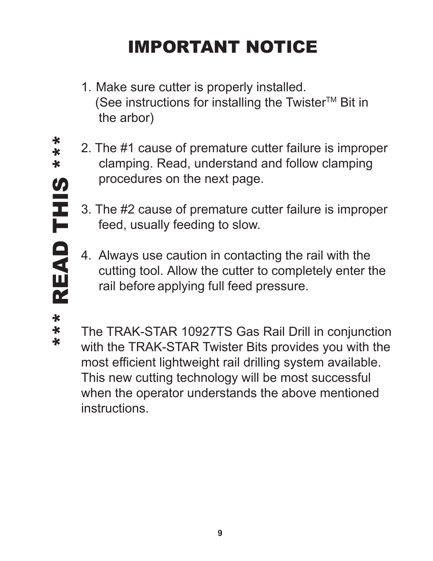# IMPORTANT NOTICE

- 1. Make sure cutter is properly installed. (See instructions for installing the Twister<sup>TM</sup> Bit in the arbor)
- 2. The #1 cause of premature cutter failure is improper clamping. Read, understand and follow clamping procedures on the next page.
	- 3. The #2 cause of premature cutter failure is improper feed, usually feeding to slow.
	- 4. Always use caution in contacting the rail with the cutting tool. Allow the cutter to completely enter the rail before applying full feed pressure.

 $\ast$  $\ast$ 

The TRAK-STAR 10927TS Gas Rail Drill in conjunction with the TRAK-STAR Twister Bits provides you with the most efficient lightweight rail drilling system available. This new cutting technology will be most successful when the operator understands the above mentioned instructions.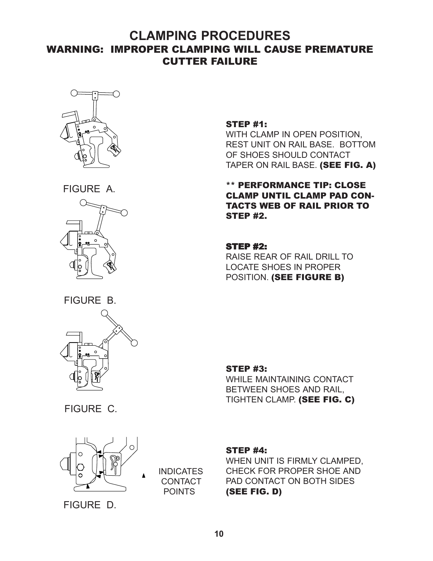### **CLAMPING PROCEDURES** WARNING: IMPROPER CLAMPING WILL CAUSE PREMATURE CUTTER FAILURE



FIGURE A.



FIGURE B.



FIGURE C.



**INDICATES CONTACT** POINTS

#### STEP #1:

WITH CLAMP IN OPEN POSITION, REST UNIT ON RAIL BASE. BOTTOM OF SHOES SHOULD CONTACT TAPER ON RAIL BASE. (SEE FIG. A)

#### \*\* PERFORMANCE TIP: CLOSE CLAMP UNTIL CLAMP PAD CON-TACTS WEB OF RAIL PRIOR TO STEP #2.

#### **STEP #2:**

RAISE REAR OF RAIL DRILL TO LOCATE SHOES IN PROPER POSITION. (SEE FIGURE B)

#### STEP #3:

WHILE MAINTAINING CONTACT BETWEEN SHOES AND RAIL, TIGHTEN CLAMP. (SEE FIG. C)

#### STEP #4:

WHEN UNIT IS FIRMLY CLAMPED, CHECK FOR PROPER SHOE AND PAD CONTACT ON BOTH SIDES (SEE FIG. D)

FIGURE D.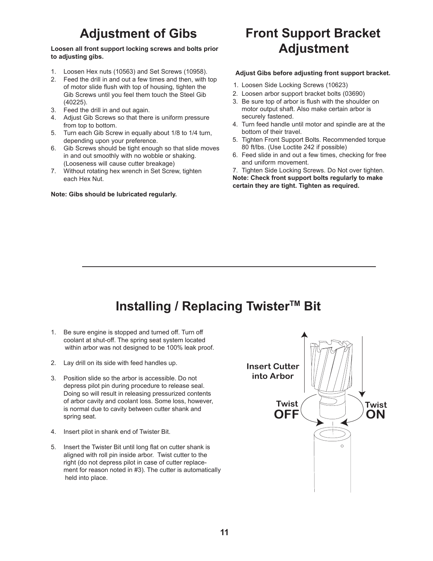# **Adjustment of Gibs**

#### **Loosen all front support locking screws and bolts prior to adjusting gibs.**

- 1. Loosen Hex nuts (10563) and Set Screws (10958).
- 2. Feed the drill in and out a few times and then, with top of motor slide flush with top of housing, tighten the Gib Screws until you feel them touch the Steel Gib (40225).
- 3. Feed the drill in and out again.
- 4. Adjust Gib Screws so that there is uniform pressure from top to bottom.
- 5. Turn each Gib Screw in equally about 1/8 to 1/4 turn, depending upon your preference.
- 6. Gib Screws should be tight enough so that slide moves in and out smoothly with no wobble or shaking. (Looseness will cause cutter breakage)
- 7. Without rotating hex wrench in Set Screw, tighten each Hex Nut.

#### **Note: Gibs should be lubricated regularly.**

# **Front Support Bracket Adjustment**

#### **Adjust Gibs before adjusting front support bracket.**

- 1. Loosen Side Locking Screws (10623)
- 2. Loosen arbor support bracket bolts (03690)
- 3. Be sure top of arbor is flush with the shoulder on motor output shaft. Also make certain arbor is securely fastened.
- 4. Turn feed handle until motor and spindle are at the bottom of their travel.
- 5. Tighten Front Support Bolts. Recommended torque 80 ft/lbs. (Use Loctite 242 if possible)
- 6. Feed slide in and out a few times, checking for free and uniform movement.

 7. Tighten Side Locking Screws. Do Not over tighten. **Note: Check front support bolts regularly to make certain they are tight. Tighten as required.**

# **Installing / Replacing Twister™ Bit**

- 1. Be sure engine is stopped and turned off. Turn off coolant at shut-off. The spring seat system located within arbor was not designed to be 100% leak proof.
- 2. Lay drill on its side with feed handles up.
- 3. Position slide so the arbor is accessible. Do not depress pilot pin during procedure to release seal. Doing so will result in releasing pressurized contents of arbor cavity and coolant loss. Some loss, however, is normal due to cavity between cutter shank and spring seat.
- 4. Insert pilot in shank end of Twister Bit.
- 5. Insert the Twister Bit until long flat on cutter shank is aligned with roll pin inside arbor. Twist cutter to the right (do not depress pilot in case of cutter replacement for reason noted in #3). The cutter is automatically held into place.

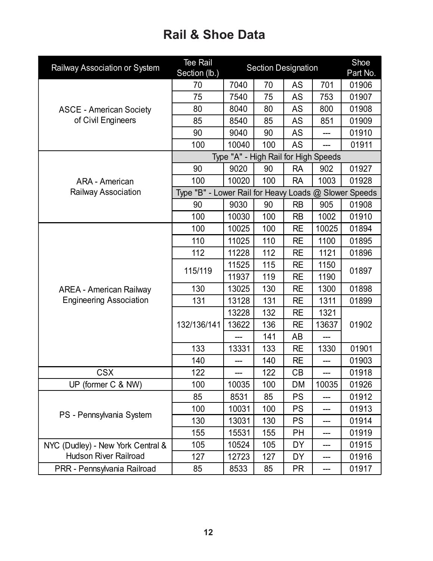## **Rail & Shoe Data**

| Railway Association or System     | <b>Tee Rail</b><br>Section (lb.)                      | <b>Section Designation</b>           |     |           |                   | Shoe<br>Part No. |
|-----------------------------------|-------------------------------------------------------|--------------------------------------|-----|-----------|-------------------|------------------|
|                                   | 70                                                    | 7040                                 | 70  | <b>AS</b> | 701               | 01906            |
|                                   | 75                                                    | 7540                                 | 75  | AS        | 753               | 01907            |
| <b>ASCE - American Society</b>    | 80                                                    | 8040                                 | 80  | AS        | 800               | 01908            |
| of Civil Engineers                | 85                                                    | 8540                                 | 85  | AS        | 851               | 01909            |
|                                   | 90                                                    | 9040                                 | 90  | AS        |                   | 01910            |
|                                   | 100                                                   | 10040                                | 100 | <b>AS</b> |                   | 01911            |
|                                   |                                                       | Type "A" - High Rail for High Speeds |     |           |                   |                  |
|                                   | 90                                                    | 9020                                 | 90  | <b>RA</b> | 902               | 01927            |
| ARA - American                    | 100                                                   | 10020                                | 100 | <b>RA</b> | 1003              | 01928            |
| Railway Association               | Type "B" - Lower Rail for Heavy Loads @ Slower Speeds |                                      |     |           |                   |                  |
|                                   | 90                                                    | 9030                                 | 90  | <b>RB</b> | 905               | 01908            |
|                                   | 100                                                   | 10030                                | 100 | <b>RB</b> | 1002              | 01910            |
|                                   | 100                                                   | 10025                                | 100 | <b>RE</b> | 10025             | 01894            |
|                                   | 110                                                   | 11025                                | 110 | <b>RE</b> | 1100              | 01895            |
|                                   | 112                                                   | 11228                                | 112 | <b>RE</b> | 1121              | 01896            |
|                                   |                                                       | 11525                                | 115 | <b>RE</b> | 1150              | 01897            |
|                                   | 115/119                                               | 11937                                | 119 | <b>RE</b> | 1190              |                  |
| <b>AREA - American Railway</b>    | 130                                                   | 13025                                | 130 | <b>RE</b> | 1300              | 01898            |
| <b>Engineering Association</b>    | 131                                                   | 13128                                | 131 | <b>RE</b> | 1311              | 01899            |
|                                   | 132/136/141                                           | 13228                                | 132 | <b>RE</b> | 1321              | 01902            |
|                                   |                                                       | 13622                                | 136 | <b>RE</b> | 13637             |                  |
|                                   |                                                       |                                      | 141 | AB        |                   |                  |
|                                   | 133                                                   | 13331                                | 133 | <b>RE</b> | 1330              | 01901            |
|                                   | 140                                                   |                                      | 140 | <b>RE</b> |                   | 01903            |
| <b>CSX</b>                        | 122                                                   |                                      | 122 | CB        |                   | 01918            |
| UP (former C & NW)                | 100                                                   | 10035                                | 100 | DM        | 10035             | 01926            |
|                                   | 85                                                    | 8531                                 | 85  | <b>PS</b> |                   | 01912            |
|                                   | 100                                                   | 10031                                | 100 | <b>PS</b> |                   | 01913            |
| PS - Pennsylvania System          | 130                                                   | 13031                                | 130 | <b>PS</b> | ---               | 01914            |
|                                   | 155                                                   | 15531                                | 155 | PH        | ---               | 01919            |
| NYC (Dudley) - New York Central & | 105                                                   | 10524                                | 105 | DY        |                   | 01915            |
| <b>Hudson River Railroad</b>      | 127                                                   | 12723                                | 127 | DY        | $\qquad \qquad -$ | 01916            |
| PRR - Pennsylvania Railroad       | 85                                                    | 8533                                 | 85  | <b>PR</b> | ---               | 01917            |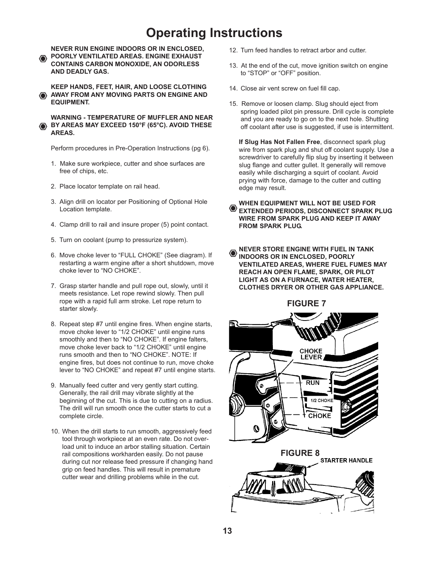### **Operating Instructions**

**NEVER RUN ENGINE INDOORS OR IN ENCLOSED, POORLY VENTILATED AREAS. ENGINE EXHAUST** ◈ **CONTAINS CARBON MONOXIDE, AN ODORLESS AND DEADLY GAS.**

**KEEP HANDS, FEET, HAIR, AND LOOSE CLOTHING AWAY FROM ANY MOVING PARTS ON ENGINE AND EQUIPMENT.**

#### **WARNING - TEMPERATURE OF MUFFLER AND NEAR BY AREAS MAY EXCEED 150°F (65°C). AVOID THESE AREAS.**

Perform procedures in Pre-Operation Instructions (pg 6).

- 1. Make sure workpiece, cutter and shoe surfaces are free of chips, etc.
- 2. Place locator template on rail head.
- 3. Align drill on locator per Positioning of Optional Hole Location template.
- 4. Clamp drill to rail and insure proper (5) point contact.
- 5. Turn on coolant (pump to pressurize system).
- 6. Move choke lever to "FULL CHOKE" (See diagram). If restarting a warm engine after a short shutdown, move choke lever to "NO CHOKE".
- 7. Grasp starter handle and pull rope out, slowly, until it meets resistance. Let rope rewind slowly. Then pull rope with a rapid full arm stroke. Let rope return to starter slowly.
- 8. Repeat step #7 until engine fires. When engine starts, move choke lever to "1/2 CHOKE" until engine runs smoothly and then to "NO CHOKE". If engine falters, move choke lever back to "1/2 CHOKE" until engine runs smooth and then to "NO CHOKE". NOTE: If engine fires, but does not continue to run, move choke lever to "NO CHOKE" and repeat #7 until engine starts.
- 9. Manually feed cutter and very gently start cutting. Generally, the rail drill may vibrate slightly at the beginning of the cut. This is due to cutting on a radius. The drill will run smooth once the cutter starts to cut a complete circle.
- 10. When the drill starts to run smooth, aggressively feed tool through workpiece at an even rate. Do not over load unit to induce an arbor stalling situation. Certain rail compositions workharden easily. Do not pause during cut nor release feed pressure if changing hand grip on feed handles. This will result in premature cutter wear and drilling problems while in the cut.
- 12. Turn feed handles to retract arbor and cutter.
- 13. At the end of the cut, move ignition switch on engine to "STOP" or "OFF" position.
- 14. Close air vent screw on fuel fill cap.
- 15. Remove or loosen clamp. Slug should eject from spring loaded pilot pin pressure. Drill cycle is complete and you are ready to go on to the next hole. Shutting off coolant after use is suggested, if use is intermittent.

**If Slug Has Not Fallen Free**, disconnect spark plug wire from spark plug and shut off coolant supply. Use a screwdriver to carefully flip slug by inserting it between slug flange and cutter gullet. It generally will remove easily while discharging a squirt of coolant. Avoid prying with force, damage to the cutter and cutting edge may result.

**WHEN EQUIPMENT WILL NOT BE USED FOR EXTENDED PERIODS, DISCONNECT SPARK PLUG WIRE FROM SPARK PLUG AND KEEP IT AWAY FROM SPARK PLUG.**

**NEVER STORE ENGINE WITH FUEL IN TANK INDOORS OR IN ENCLOSED, POORLY VENTILATED AREAS, WHERE FUEL FUMES MAY REACH AN OPEN FLAME, SPARK, OR PILOT LIGHT AS ON A FURNACE, WATER HEATER, CLOTHES DRYER OR OTHER GAS APPLIANCE.**

 **FIGURE 7**

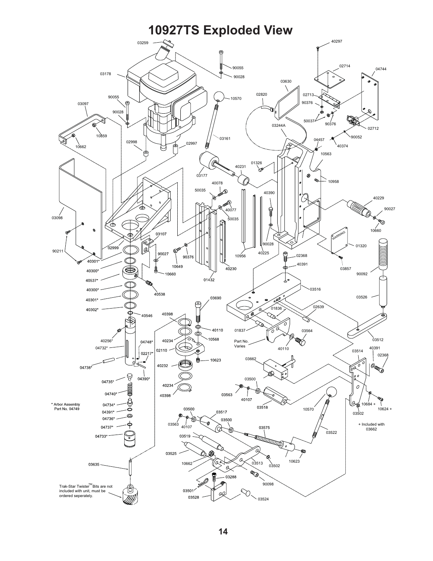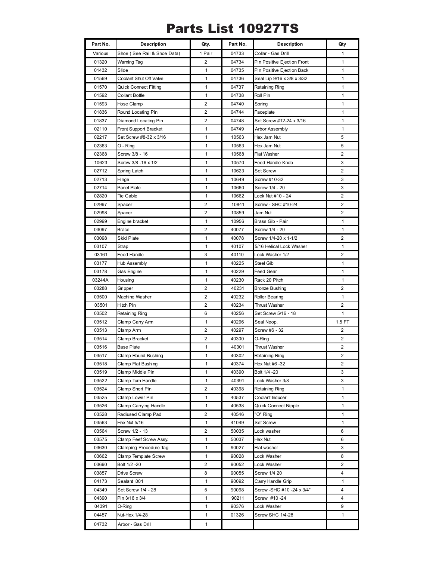### Parts List 10927TS

| Part No.       | <b>Description</b>                        | Qty.              | Part No.       | <b>Description</b>               | Qty            |
|----------------|-------------------------------------------|-------------------|----------------|----------------------------------|----------------|
| Various        | Shoe (See Rail & Shoe Data)               | 1 Pair            | 04733          | Collar - Gas Drill               | 1              |
| 01320          | <b>Warning Tag</b>                        | 2                 | 04734          | Pin Positive Ejection Front      | 1              |
| 01432          | Slide                                     | 1                 | 04735          | Pin Positive Ejection Back       | 1              |
| 01569          | Coolant Shut Off Valve                    | 1                 | 04736          | Seal Lip 9/16 x 3/8 x 3/32       | 1              |
| 01570          | <b>Quick Connect Fitting</b>              | $\mathbf{1}$      | 04737          | Retaining Ring                   | 1              |
| 01592          | <b>Collant Bottle</b>                     | 1                 | 04738          | Roll Pin                         | 1              |
| 01593          | Hose Clamp                                | 2                 | 04740          | Spring                           | 1              |
| 01836          | Round Locating Pin                        | 2                 | 04744          | Faceplate                        | 1              |
| 01837          | Diamond Locating Pin                      | 2                 | 04748          | Set Screw #12-24 x 3/16          | 1              |
| 02110          | Front Support Bracket                     | 1                 | 04749          | <b>Arbor Assembly</b>            | $\mathbf{1}$   |
| 02217          | Set Screw #8-32 x 3/16                    | 1                 | 10563          | Hex Jam Nut                      | 5              |
| 02363          | O - Ring                                  | $\mathbf{1}$      | 10563          | Hex Jam Nut                      | 5              |
| 02368          | Screw 3/8 - 16                            | 1                 | 10568          | <b>Flat Washer</b>               | 2              |
| 10623          | Screw 3/8 -16 x 1/2                       | $\mathbf{1}$      | 10570          | Feed Handle Knob                 | 3              |
| 02712          | Spring Latch                              | $\mathbf{1}$      | 10623          | Set Screw                        | 2              |
| 02713          | Hinge                                     | 1                 | 10649          | Screw #10-32                     | 3              |
| 02714          | Panel Plate                               | $\mathbf{1}$      | 10660          | Screw 1/4 - 20                   | 3              |
| 02820          | Tie Cable                                 | $\mathbf{1}$      | 10662          | Lock Nut #10 - 24                | $\overline{2}$ |
| 02997          | Spacer                                    | $\overline{c}$    | 10841          | Screw - SHC #10-24               | 2              |
| 02998          | Spacer                                    | $\overline{c}$    | 10859          | Jam Nut                          | 2              |
| 02999          | Engine bracket                            | 1                 | 10956          | Brass Gib - Pair                 | 1              |
| 03097          | <b>Brace</b>                              | $\overline{c}$    | 40077          | Screw 1/4 - 20                   | 1              |
| 03098          | Skid Plate                                | 1                 | 40078          | Screw 1/4-20 x 1-1/2             | 2              |
| 03107          | Strap                                     | $\mathbf{1}$      | 40107          | 5/16 Helical Lock Washer         | $\mathbf{1}$   |
| 03161          | Feed Handle                               | 3                 | 40110          | Lock Washer 1/2                  | 2              |
| 03177          | <b>Hub Assembly</b>                       | $\mathbf{1}$      | 40225          | <b>Steel Gib</b>                 | $\mathbf{1}$   |
| 03178          | Gas Engine                                | 1                 | 40229          | <b>Feed Gear</b>                 | 1              |
| 03244A         | Housing                                   | $\mathbf{1}$      | 40230          | Rack 20 Pitch                    | $\mathbf{1}$   |
| 03288          | Gripper                                   | 2                 | 40231          | <b>Bronze Bushing</b>            | 2              |
| 03500          | Machine Washer                            | 2                 | 40232          | <b>Roller Bearing</b>            | $\mathbf{1}$   |
| 03501          | Hitch Pin                                 | 2                 | 40234          | <b>Thrust Washer</b>             | $\overline{2}$ |
| 03502          | Retaining Ring                            | 6                 | 40256          | Set Screw 5/16 - 18              | 1              |
| 03512          | Clamp Carry Arm                           | $\mathbf{1}$<br>2 | 40296          | Seal Neop.<br>Screw #6 - 32      | 1.5 FT<br>2    |
| 03513          | Clamp Arm                                 | 2                 | 40297          |                                  |                |
| 03514<br>03516 | Clamp Bracket<br><b>Base Plate</b>        | 1                 | 40300          | O-Ring                           | 2<br>2         |
|                |                                           | 1                 | 40301          | <b>Thrust Washer</b>             | $\overline{2}$ |
| 03517<br>03518 | Clamp Round Bushing<br>Clamp Flat Bushing | 1                 | 40302<br>40374 | Retaining Ring<br>Hex Nut #6 -32 | 2              |
| 03519          | Clamp Middle Pin                          | 1                 | 40390          | Bolt 1/4 -20                     | 3              |
| 03522          | Clamp Turn Handle                         | 1                 | 40391          | Lock Washer 3/8                  | 3              |
| 03524          | Clamp Short Pin                           | 2                 | 40398          | Retaining Ring                   | 1              |
| 03525          | Clamp Lower Pin                           | 1                 | 40537          | Coolant Inducer                  | 1              |
| 03526          | Clamp Carrying Handle                     | $\mathbf{1}$      | 40538          | Quick Connect Nipple             | 1              |
| 03528          | Radiused Clamp Pad                        | 2                 | 40546          | "O" Ring                         | 1              |
| 03563          | Hex Nut 5/16                              | 1                 | 41049          | Set Screw                        | 1              |
| 03564          | Screw 1/2 - 13                            | 2                 | 50035          | Lock washer                      | 6              |
| 03575          | Clamp Feef Screw Assy.                    | 1                 | 50037          | Hex Nut                          | 6              |
| 03630          | Clamping Procedure Tag                    | $\mathbf{1}$      | 90027          | Flat washer                      | 3              |
| 03662          | Clamp Template Screw                      | $\mathbf{1}$      | 90028          | Lock Washer                      | 8              |
| 03690          | Bolt 1/2 -20                              | 2                 | 90052          | Lock Washer                      | 2              |
| 03857          | Drive Screw                               | 8                 | 90055          | Screw 1/4 20                     | 4              |
| 04173          | Sealant .001                              | 1                 | 90092          | Carry Handle Grip                | 1              |
| 04349          | Set Screw 1/4 - 28                        | 5                 | 90098          | Screw - SHC #10 - 24 x 3/4"      | 4              |
| 04390          | Pin 3/16 x 3/4                            | 1                 | 90211          | Screw #10 -24                    | 4              |
| 04391          | O-Ring                                    | 1                 | 90376          | Lock Washer                      | 9              |
| 04457          | Nut-Hex 1/4-28                            | 1                 | 01326          | Screw SHC 1/4-28                 | 1              |
| 04732          | Arbor - Gas Drill                         | $\mathbf{1}$      |                |                                  |                |
|                |                                           |                   |                |                                  |                |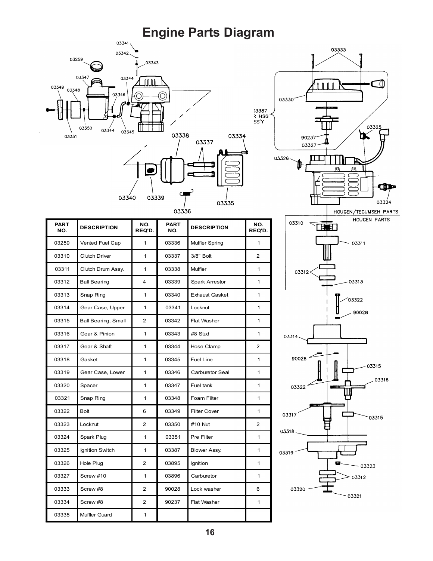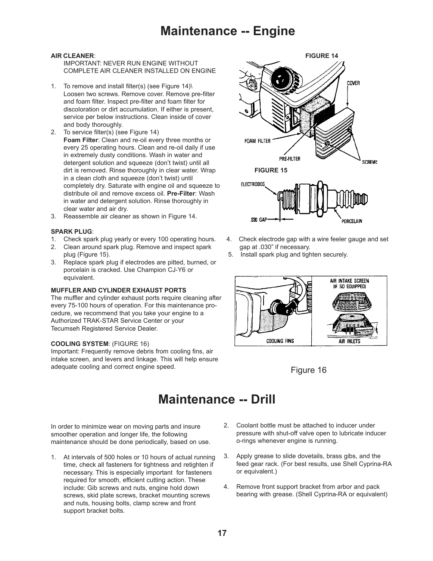IMPORTANT: NEVER RUN ENGINE WITHOUT COMPLETE AIR CLEANER INSTALLED ON ENGINE

- 1. To remove and install filter(s) (see Figure 14)\ Loosen two screws. Remove cover. Remove pre-filter and foam filter. Inspect pre-filter and foam filter for discoloration or dirt accumulation. If either is present, service per below instructions. Clean inside of cover and body thoroughly.
- 2. To service filter(s) (see Figure 14) **Foam Filter**: Clean and re-oil every three months or every 25 operating hours. Clean and re-oil daily if use in extremely dusty conditions. Wash in water and detergent solution and squeeze (don't twist) until all dirt is removed. Rinse thoroughly in clear water. Wrap **FIGURE 15** in a clean cloth and squeeze (don't twist) until completely dry. Saturate with engine oil and squeeze to distribute oil and remove excess oil. **Pre-Filter**: Wash in water and detergent solution. Rinse thoroughly in clear water and air dry.
- 3. Reassemble air cleaner as shown in Figure 14.

#### **SPARK PLUG**:

- 1. Check spark plug yearly or every 100 operating hours. 4. Check electrode gap with a wire feeler gauge and set
- 2. Clean around spark plug. Remove and inspect spark gap at .030" if necessary. plug (Figure 15). 5. Install spark plug and tighten securely.
- 3. Replace spark plug if electrodes are pitted, burned, or porcelain is cracked. Use Champion CJ-Y6 or equivalent.

#### **MUFFLER AND CYLINDER EXHAUST PORTS**

The muffler and cylinder exhaust ports require cleaning after every 75-100 hours of operation. For this maintenance procedure, we recommend that you take your engine to a Authorized TRAK-STAR Service Center or your Tecumseh Registered Service Dealer.

#### **COOLING SYSTEM**: (FIGURE 16)

Important: Frequently remove debris from cooling fins, air intake screen, and levers and linkage. This will help ensure adequate cooling and correct engine speed. Figure 16





- 
- 



### **Maintenance -- Drill**

In order to minimize wear on moving parts and insure smoother operation and longer life, the following maintenance should be done periodically, based on use.

- 1. At intervals of 500 holes or 10 hours of actual running time, check all fasteners for tightness and retighten if necessary. This is especially important for fasteners required for smooth, efficient cutting action. These include: Gib screws and nuts, engine hold down screws, skid plate screws, bracket mounting screws and nuts, housing bolts, clamp screw and front support bracket bolts.
- 2. Coolant bottle must be attached to inducer under pressure with shut-off valve open to lubricate inducer o-rings whenever engine is running.
- 3. Apply grease to slide dovetails, brass gibs, and the feed gear rack. (For best results, use Shell Cyprina-RA or equivalent.)
- 4. Remove front support bracket from arbor and pack bearing with grease. (Shell Cyprina-RA or equivalent)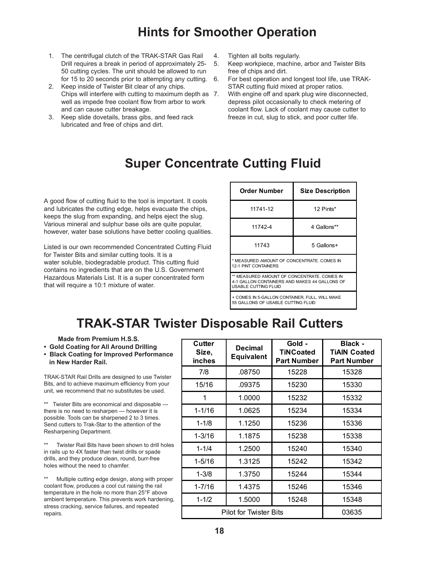### **Hints for Smoother Operation**

- 1. The centrifugal clutch of the TRAK-STAR Gas Rail Drill requires a break in period of approximately 25- 50 cutting cycles. The unit should be allowed to run for 15 to 20 seconds prior to attempting any cutting.
- 2. Keep inside of Twister Bit clear of any chips. Chips will interfere with cutting to maximum depth as well as impede free coolant flow from arbor to work and can cause cutter breakage.
- 3. Keep slide dovetails, brass gibs, and feed rack lubricated and free of chips and dirt.
- 4. Tighten all bolts regularly.
- 5. Keep workpiece, machine, arbor and Twister Bits free of chips and dirt.
- 6. For best operation and longest tool life, use TRAK-STAR cutting fluid mixed at proper ratios.
	- With engine off and spark plug wire disconnected, depress pilot occasionally to check metering of coolant flow. Lack of coolant may cause cutter to freeze in cut, slug to stick, and poor cutter life.

### **Super Concentrate Cutting Fluid**

A good flow of cutting fluid to the tool is important. It cools and lubricates the cutting edge, helps evacuate the chips, keeps the slug from expanding, and helps eject the slug. Various mineral and sulphur base oils are quite popular, however, water base solutions have better cooling qualities.

Listed is our own recommended Concentrated Cutting Fluid for Twister Bits and similar cutting tools. It is a water soluble, biodegradable product. This cutting fluid contains no ingredients that are on the U.S. Government Hazardous Materials List. It is a super concentrated form that will require a 10:1 mixture of water.

| <b>Order Number</b>                                                                                                         | <b>Size Description</b> |  |  |  |
|-----------------------------------------------------------------------------------------------------------------------------|-------------------------|--|--|--|
| 11741-12                                                                                                                    | 12 Pints*               |  |  |  |
| 11742-4                                                                                                                     | 4 Gallons**             |  |  |  |
| 11743                                                                                                                       | 5 Gallons+              |  |  |  |
| * MEASURED AMOUNT OF CONCENTRATE, COMES IN<br><b>12-1 PINT CONTAINERS</b>                                                   |                         |  |  |  |
| ** MEASURED AMOUNT OF CONCENTRATE, COMES IN<br>4-1 GALLON CONTAINERS AND MAKES 44 GALLONS OF<br><b>USABLE CUTTING FLUID</b> |                         |  |  |  |
| + COMES IN 5-GALLON CONTAINER, FULL, WILL MAKE<br>55 GALLONS OF USABLE CUTTING FLUID                                        |                         |  |  |  |

### **TRAK-STAR Twister Disposable Rail Cutters**

 **Made from Premium H.S.S.**

**• Gold Coating for All Around Drilling**

**• Black Coating for Improved Performance in New Harder Rail.**

TRAK-STAR Rail Drills are designed to use Twister Bits, and to achieve maximum efficiency from your unit, we recommend that no substitutes be used.

\*\* Twister Bits are economical and disposable --there is no need to resharpen --- however it is possible. Tools can be sharpened 2 to 3 times. Send cutters to Trak-Star to the attention of the Resharpening Department.

Twister Rail Bits have been shown to drill holes in rails up to 4X faster than twist drills or spade drills, and they produce clean, round, burr-free holes without the need to chamfer.

Multiple cutting edge design, along with proper coolant flow, produces a cool cut raising the rail temperature in the hole no more than 25°F above ambient temperature. This prevents work hardening, stress cracking, service failures, and repeated repairs.

| Cutter<br>Size,<br>inches | <b>Decimal</b><br><b>Equivalent</b> | Gold -<br><b>TiNCoated</b><br><b>Part Number</b> | Black -<br><b>TIAIN Coated</b><br><b>Part Number</b> |
|---------------------------|-------------------------------------|--------------------------------------------------|------------------------------------------------------|
| 7/8                       | .08750                              | 15228                                            | 15328                                                |
| 15/16                     | .09375                              | 15230                                            | 15330                                                |
| 1                         | 1.0000                              | 15232                                            | 15332                                                |
| $1 - 1/16$                | 1.0625                              | 15234                                            | 15334                                                |
| $1 - 1/8$                 | 1.1250                              | 15236                                            | 15336                                                |
| $1 - 3/16$                | 1.1875                              | 15238                                            | 15338                                                |
| $1 - 1/4$                 | 1.2500                              | 15240                                            | 15340                                                |
| $1 - 5/16$                | 1.3125                              | 15242                                            | 15342                                                |
| $1 - 3/8$                 | 1.3750                              | 15244                                            | 15344                                                |
| $1 - 7/16$                | 1.4375                              | 15246                                            | 15346                                                |
| $1 - 1/2$                 | 1.5000                              | 15248                                            | 15348                                                |
| Pilot for Twister Bits    | 03635                               |                                                  |                                                      |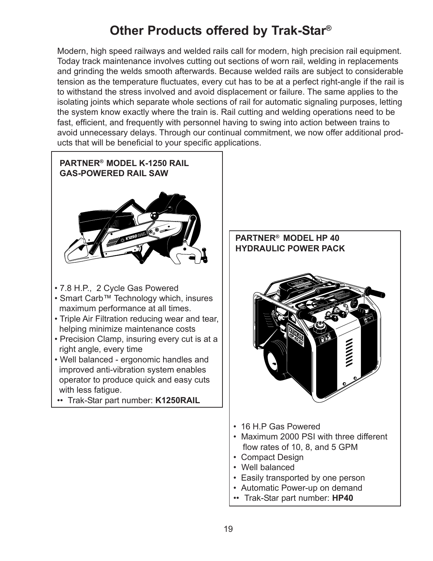# **Other Products offered by Trak-Star®**

Modern, high speed railways and welded rails call for modern, high precision rail equipment. Today track maintenance involves cutting out sections of worn rail, welding in replacements and grinding the welds smooth afterwards. Because welded rails are subject to considerable tension as the temperature fluctuates, every cut has to be at a perfect right-angle if the rail is to withstand the stress involved and avoid displacement or failure. The same applies to the isolating joints which separate whole sections of rail for automatic signaling purposes, letting the system know exactly where the train is. Rail cutting and welding operations need to be fast, efficient, and frequently with personnel having to swing into action between trains to avoid unnecessary delays. Through our continual commitment, we now offer additional products that will be beneficial to your specific applications.